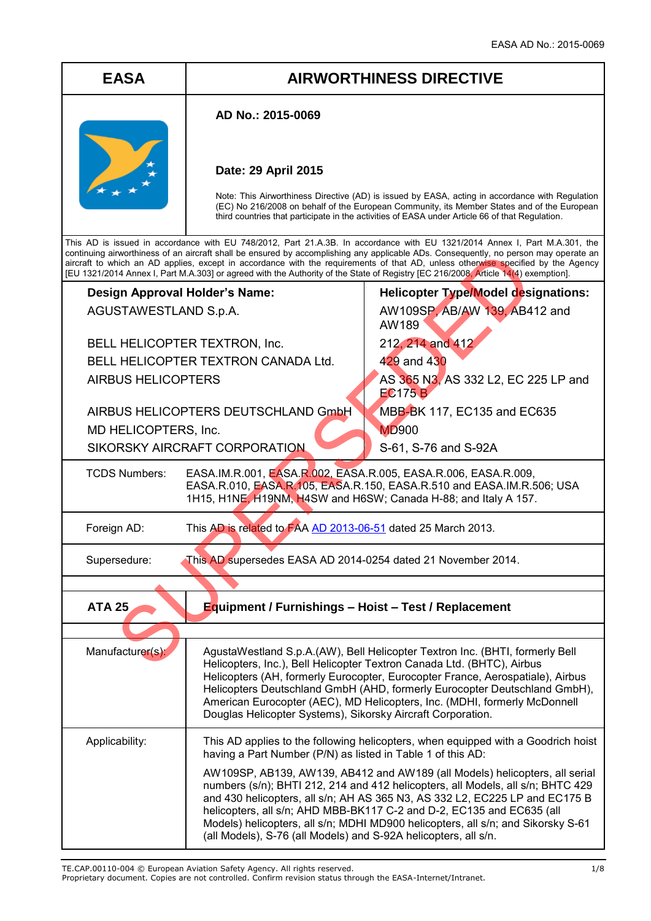# **EASA AIRWORTHINESS DIRECTIVE**

### **AD No.: 2015-0069**

## **Date: 29 April 2015**

Note: This Airworthiness Directive (AD) is issued by EASA, acting in accordance with Regulation (EC) No 216/2008 on behalf of the European Community, its Member States and of the European third countries that participate in the activities of EASA under Article 66 of that Regulation.

AW189

212, 214 and 412

S-61, S-76 and S-92A

429 and 430

EC175 B

MD900

**Helicopter Type/Model designations:** AW109SP, AB/AW 139, AB412 and

AS 365 N3, AS 332 L2, EC 225 LP and

MBB-BK 117, EC135 and EC635

This AD is issued in accordance with EU 748/2012, Part 21.A.3B. In accordance with EU 1321/2014 Annex I, Part M.A.301, the continuing airworthiness of an aircraft shall be ensured by accomplishing any applicable ADs. Consequently, no person may operate an aircraft to which an AD applies, except in accordance with the requirements of that AD, unless otherwise specified by the Agency [EU 1321/2014 Annex I, Part M.A.303] or agreed with the Authority of the State of Registry [EC 216/2008, Article 14(4) exemption].

# **Design Approval Holder's Name:** AGUSTAWESTLAND S.p.A.

BELL HELICOPTER TEXTRON, Inc. BELL HELICOPTER TEXTRON CANADA Ltd. AIRBUS HELICOPTERS

AIRBUS HELICOPTERS DEUTSCHLAND GmbH MD HELICOPTERS, Inc. SIKORSKY AIRCRAFT CORPORATION

TCDS Numbers: EASA.IM.R.001, EASA.R.002, EASA.R.005, EASA.R.006, EASA.R.009, EASA.R.010, EASA.R.105, EASA.R.150, EASA.R.510 and EASA.IM.R.506; USA 1H15, H1NE, H19NM, H4SW and H6SW; Canada H-88; and Italy A 157. WAS CHELICOPTERS (AND SUPER CORPORATION AND SUPER CHEAP AND SUPER CHEAP AND SUPER CHEAP AND SUPER CHEAP AND SUPER CHEAP AND SUPER CHEAP AND SUPER CHEAP AND SUPER CHEAP AND SUPER CHEAP AND SUPER CHEAP AND SUPER TEXTRON CANA

Foreign AD: This AD is related to FAA AD 2013-06-51 dated 25 March 2013.

Supersedure: This AD supersedes EASA AD 2014-0254 dated 21 November 2014.

**ATA 25 Equipment / Furnishings – Hoist – Test / Replacement**

| Manufacturer(s): | AgustaWestland S.p.A.(AW), Bell Helicopter Textron Inc. (BHTI, formerly Bell<br>Helicopters, Inc.), Bell Helicopter Textron Canada Ltd. (BHTC), Airbus<br>Helicopters (AH, formerly Eurocopter, Eurocopter France, Aerospatiale), Airbus<br>Helicopters Deutschland GmbH (AHD, formerly Eurocopter Deutschland GmbH),<br>American Eurocopter (AEC), MD Helicopters, Inc. (MDHI, formerly McDonnell<br>Douglas Helicopter Systems), Sikorsky Aircraft Corporation.             |
|------------------|-------------------------------------------------------------------------------------------------------------------------------------------------------------------------------------------------------------------------------------------------------------------------------------------------------------------------------------------------------------------------------------------------------------------------------------------------------------------------------|
| Applicability:   | This AD applies to the following helicopters, when equipped with a Goodrich hoist<br>having a Part Number (P/N) as listed in Table 1 of this AD:                                                                                                                                                                                                                                                                                                                              |
|                  | AW109SP, AB139, AW139, AB412 and AW189 (all Models) helicopters, all serial<br>numbers (s/n); BHTI 212, 214 and 412 helicopters, all Models, all s/n; BHTC 429<br>and 430 helicopters, all s/n; AH AS 365 N3, AS 332 L2, EC225 LP and EC175 B<br>helicopters, all s/n; AHD MBB-BK117 C-2 and D-2, EC135 and EC635 (all<br>Models) helicopters, all s/n; MDHI MD900 helicopters, all s/n; and Sikorsky S-61<br>(all Models), S-76 (all Models) and S-92A helicopters, all s/n. |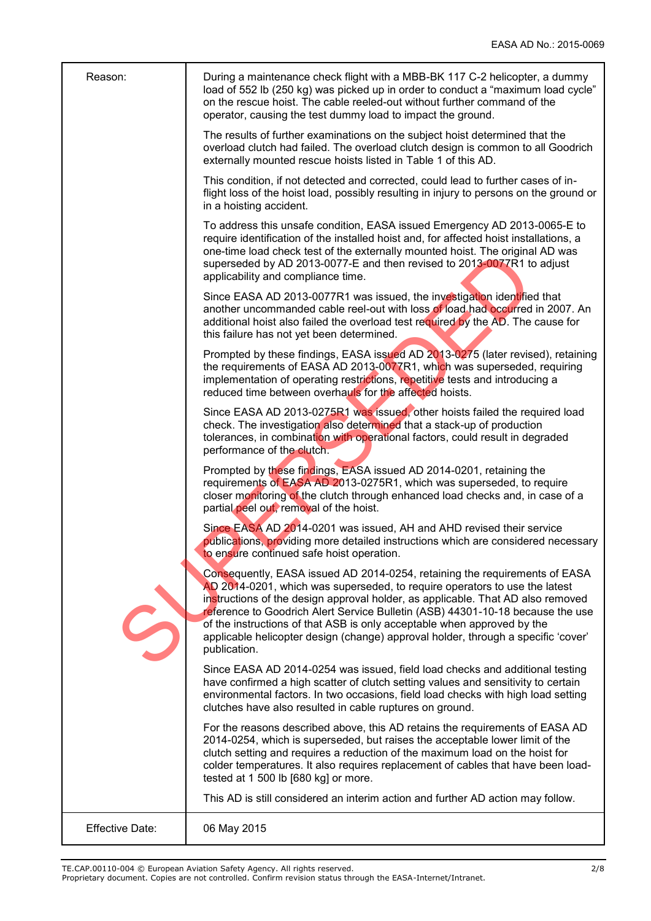| Reason:         | During a maintenance check flight with a MBB-BK 117 C-2 helicopter, a dummy<br>load of 552 lb (250 kg) was picked up in order to conduct a "maximum load cycle"<br>on the rescue hoist. The cable reeled-out without further command of the<br>operator, causing the test dummy load to impact the ground.                                                                                                                                                                                                    |
|-----------------|---------------------------------------------------------------------------------------------------------------------------------------------------------------------------------------------------------------------------------------------------------------------------------------------------------------------------------------------------------------------------------------------------------------------------------------------------------------------------------------------------------------|
|                 | The results of further examinations on the subject hoist determined that the<br>overload clutch had failed. The overload clutch design is common to all Goodrich<br>externally mounted rescue hoists listed in Table 1 of this AD.                                                                                                                                                                                                                                                                            |
|                 | This condition, if not detected and corrected, could lead to further cases of in-<br>flight loss of the hoist load, possibly resulting in injury to persons on the ground or<br>in a hoisting accident.                                                                                                                                                                                                                                                                                                       |
|                 | To address this unsafe condition, EASA issued Emergency AD 2013-0065-E to<br>require identification of the installed hoist and, for affected hoist installations, a<br>one-time load check test of the externally mounted hoist. The original AD was<br>superseded by AD 2013-0077-E and then revised to 2013-0077R1 to adjust<br>applicability and compliance time.                                                                                                                                          |
|                 | Since EASA AD 2013-0077R1 was issued, the investigation identified that<br>another uncommanded cable reel-out with loss of load had occurred in 2007. An<br>additional hoist also failed the overload test required by the AD. The cause for<br>this failure has not yet been determined.                                                                                                                                                                                                                     |
|                 | Prompted by these findings, EASA issued AD 2013-0275 (later revised), retaining<br>the requirements of EASA AD 2013-0077R1, which was superseded, requiring<br>implementation of operating restrictions, repetitive tests and introducing a<br>reduced time between overhauls for the affected hoists.                                                                                                                                                                                                        |
|                 | Since EASA AD 2013-0275R1 was issued, other hoists failed the required load<br>check. The investigation also determined that a stack-up of production<br>tolerances, in combination with operational factors, could result in degraded<br>performance of the clutch.                                                                                                                                                                                                                                          |
|                 | Prompted by these findings, EASA issued AD 2014-0201, retaining the<br>requirements of EASA AD 2013-0275R1, which was superseded, to require<br>closer monitoring of the clutch through enhanced load checks and, in case of a<br>partial peel out, removal of the hoist.                                                                                                                                                                                                                                     |
|                 | Since EASA AD 2014-0201 was issued, AH and AHD revised their service<br>publications, providing more detailed instructions which are considered necessary<br>to ensure continued safe hoist operation.                                                                                                                                                                                                                                                                                                        |
|                 | Consequently, EASA issued AD 2014-0254, retaining the requirements of EASA<br>AD 2014-0201, which was superseded, to require operators to use the latest<br>instructions of the design approval holder, as applicable. That AD also removed<br>reference to Goodrich Alert Service Bulletin (ASB) 44301-10-18 because the use<br>of the instructions of that ASB is only acceptable when approved by the<br>applicable helicopter design (change) approval holder, through a specific 'cover'<br>publication. |
|                 | Since EASA AD 2014-0254 was issued, field load checks and additional testing<br>have confirmed a high scatter of clutch setting values and sensitivity to certain<br>environmental factors. In two occasions, field load checks with high load setting<br>clutches have also resulted in cable ruptures on ground.                                                                                                                                                                                            |
|                 | For the reasons described above, this AD retains the requirements of EASA AD<br>2014-0254, which is superseded, but raises the acceptable lower limit of the<br>clutch setting and requires a reduction of the maximum load on the hoist for<br>colder temperatures. It also requires replacement of cables that have been load-<br>tested at 1 500 lb [680 kg] or more.                                                                                                                                      |
|                 | This AD is still considered an interim action and further AD action may follow.                                                                                                                                                                                                                                                                                                                                                                                                                               |
| Effective Date: | 06 May 2015                                                                                                                                                                                                                                                                                                                                                                                                                                                                                                   |

TE.CAP.00110-004 © European Aviation Safety Agency. All rights reserved. 2/8

Proprietary document. Copies are not controlled. Confirm revision status through the EASA-Internet/Intranet.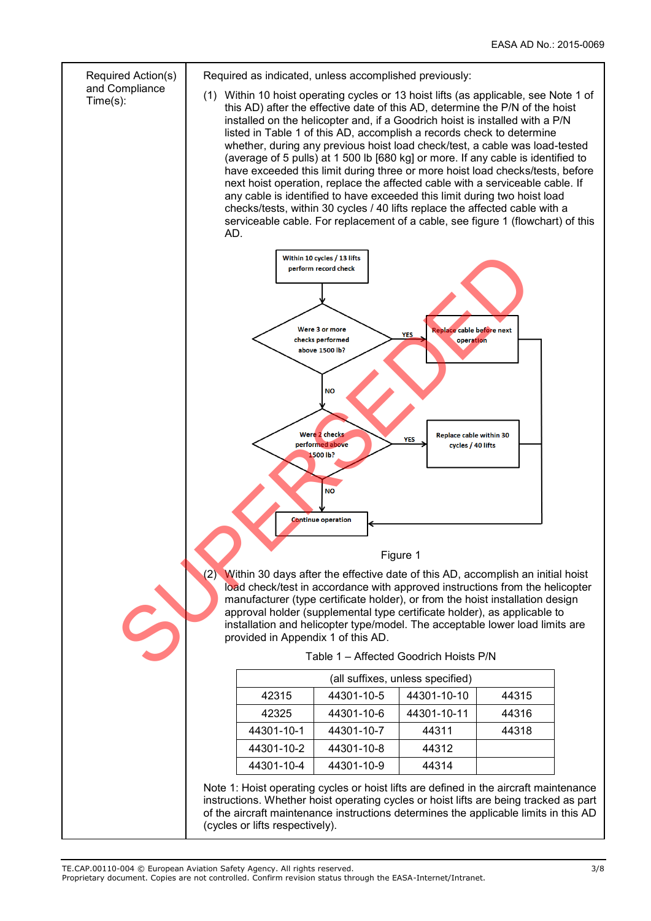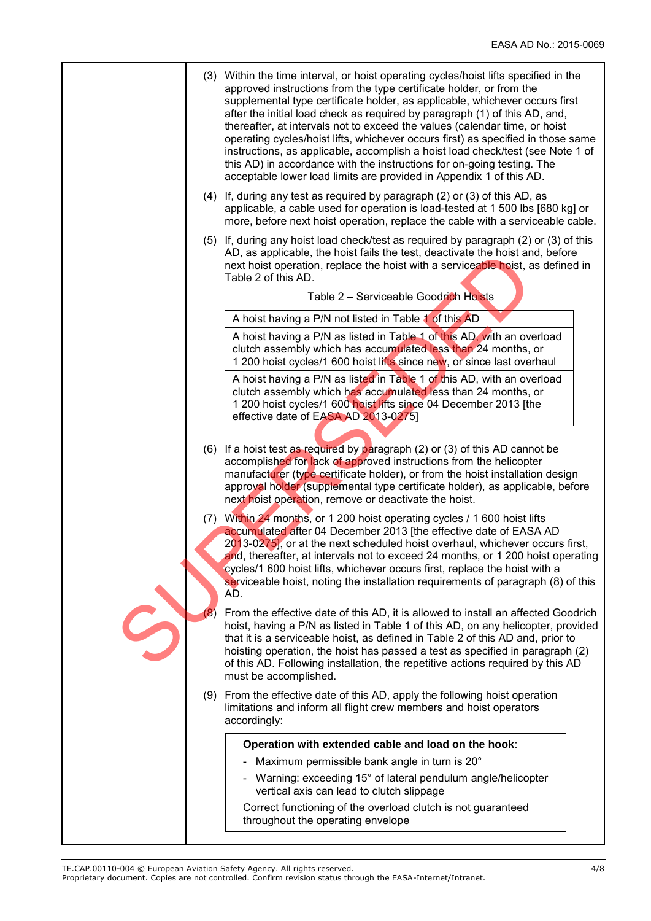| (3) Within the time interval, or hoist operating cycles/hoist lifts specified in the<br>approved instructions from the type certificate holder, or from the<br>supplemental type certificate holder, as applicable, whichever occurs first<br>after the initial load check as required by paragraph (1) of this AD, and,<br>thereafter, at intervals not to exceed the values (calendar time, or hoist<br>operating cycles/hoist lifts, whichever occurs first) as specified in those same<br>instructions, as applicable, accomplish a hoist load check/test (see Note 1 of<br>this AD) in accordance with the instructions for on-going testing. The<br>acceptable lower load limits are provided in Appendix 1 of this AD. |
|-------------------------------------------------------------------------------------------------------------------------------------------------------------------------------------------------------------------------------------------------------------------------------------------------------------------------------------------------------------------------------------------------------------------------------------------------------------------------------------------------------------------------------------------------------------------------------------------------------------------------------------------------------------------------------------------------------------------------------|
| (4) If, during any test as required by paragraph (2) or (3) of this AD, as<br>applicable, a cable used for operation is load-tested at 1 500 lbs [680 kg] or<br>more, before next hoist operation, replace the cable with a serviceable cable.                                                                                                                                                                                                                                                                                                                                                                                                                                                                                |
| (5) If, during any hoist load check/test as required by paragraph (2) or (3) of this<br>AD, as applicable, the hoist fails the test, deactivate the hoist and, before<br>next hoist operation, replace the hoist with a serviceable hoist, as defined in<br>Table 2 of this AD.                                                                                                                                                                                                                                                                                                                                                                                                                                               |
| Table 2 - Serviceable Goodrich Hoists                                                                                                                                                                                                                                                                                                                                                                                                                                                                                                                                                                                                                                                                                         |
| A hoist having a P/N not listed in Table 1 of this AD                                                                                                                                                                                                                                                                                                                                                                                                                                                                                                                                                                                                                                                                         |
| A hoist having a P/N as listed in Table 1 of this AD, with an overload<br>clutch assembly which has accumulated less than 24 months, or<br>1 200 hoist cycles/1 600 hoist lifts since new, or since last overhaul                                                                                                                                                                                                                                                                                                                                                                                                                                                                                                             |
| A hoist having a P/N as listed in Table 1 of this AD, with an overload<br>clutch assembly which has accumulated less than 24 months, or<br>1 200 hoist cycles/1 600 hoist lifts since 04 December 2013 [the<br>effective date of EASA AD 2013-0275]                                                                                                                                                                                                                                                                                                                                                                                                                                                                           |
| (6) If a hoist test as required by paragraph (2) or (3) of this AD cannot be<br>accomplished for lack of approved instructions from the helicopter<br>manufacturer (type certificate holder), or from the hoist installation design<br>approval holder (supplemental type certificate holder), as applicable, before<br>next hoist operation, remove or deactivate the hoist.                                                                                                                                                                                                                                                                                                                                                 |
| (7) Within 24 months, or 1 200 hoist operating cycles / 1 600 hoist lifts<br>accumulated after 04 December 2013 [the effective date of EASA AD<br>2013-0275], or at the next scheduled hoist overhaul, whichever occurs first,<br>and, thereafter, at intervals not to exceed 24 months, or 1 200 hoist operating<br>cycles/1 600 hoist lifts, whichever occurs first, replace the hoist with a<br>serviceable hoist, noting the installation requirements of paragraph (8) of this<br>AD.                                                                                                                                                                                                                                    |
| (8)<br>From the effective date of this AD, it is allowed to install an affected Goodrich<br>hoist, having a P/N as listed in Table 1 of this AD, on any helicopter, provided<br>that it is a serviceable hoist, as defined in Table 2 of this AD and, prior to<br>hoisting operation, the hoist has passed a test as specified in paragraph (2)<br>of this AD. Following installation, the repetitive actions required by this AD<br>must be accomplished.                                                                                                                                                                                                                                                                    |
| (9) From the effective date of this AD, apply the following hoist operation<br>limitations and inform all flight crew members and hoist operators<br>accordingly:                                                                                                                                                                                                                                                                                                                                                                                                                                                                                                                                                             |
| Operation with extended cable and load on the hook:                                                                                                                                                                                                                                                                                                                                                                                                                                                                                                                                                                                                                                                                           |
| Maximum permissible bank angle in turn is 20°                                                                                                                                                                                                                                                                                                                                                                                                                                                                                                                                                                                                                                                                                 |
| - Warning: exceeding 15° of lateral pendulum angle/helicopter<br>vertical axis can lead to clutch slippage                                                                                                                                                                                                                                                                                                                                                                                                                                                                                                                                                                                                                    |
| Correct functioning of the overload clutch is not guaranteed<br>throughout the operating envelope                                                                                                                                                                                                                                                                                                                                                                                                                                                                                                                                                                                                                             |
|                                                                                                                                                                                                                                                                                                                                                                                                                                                                                                                                                                                                                                                                                                                               |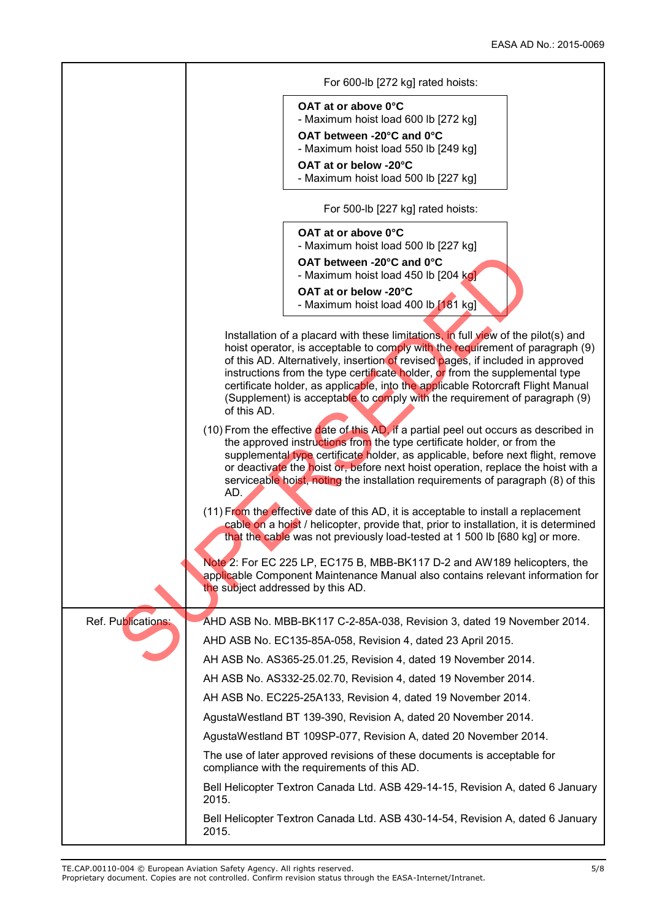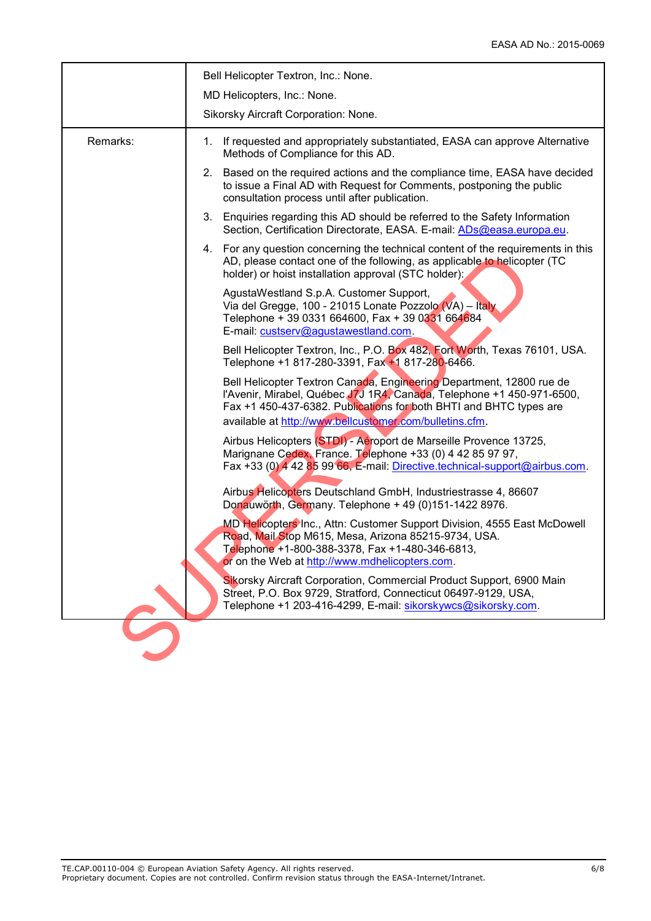|          | Bell Helicopter Textron, Inc.: None.<br>MD Helicopters, Inc.: None.                                                                                                                                                                                                            |  |  |  |  |
|----------|--------------------------------------------------------------------------------------------------------------------------------------------------------------------------------------------------------------------------------------------------------------------------------|--|--|--|--|
|          | Sikorsky Aircraft Corporation: None.                                                                                                                                                                                                                                           |  |  |  |  |
| Remarks: | 1. If requested and appropriately substantiated, EASA can approve Alternative<br>Methods of Compliance for this AD.                                                                                                                                                            |  |  |  |  |
|          | Based on the required actions and the compliance time, EASA have decided<br>2.<br>to issue a Final AD with Request for Comments, postponing the public<br>consultation process until after publication.                                                                        |  |  |  |  |
|          | 3. Enquiries regarding this AD should be referred to the Safety Information<br>Section, Certification Directorate, EASA. E-mail: ADs@easa.europa.eu.                                                                                                                           |  |  |  |  |
|          | 4. For any question concerning the technical content of the requirements in this<br>AD, please contact one of the following, as applicable to helicopter (TC<br>holder) or hoist installation approval (STC holder):                                                           |  |  |  |  |
|          | AgustaWestland S.p.A. Customer Support,<br>Via del Gregge, 100 - 21015 Lonate Pozzolo (VA) - Italy<br>Telephone + 39 0331 664600, Fax + 39 0331 664684<br>E-mail: custserv@agustawestland.com.                                                                                 |  |  |  |  |
|          | Bell Helicopter Textron, Inc., P.O. Box 482, Fort Worth, Texas 76101, USA.<br>Telephone +1 817-280-3391, Fax +1 817-280-6466.                                                                                                                                                  |  |  |  |  |
|          | Bell Helicopter Textron Canada, Engineering Department, 12800 rue de<br>l'Avenir, Mirabel, Québec J7J 1R4, Canada, Telephone +1 450-971-6500,<br>Fax +1 450-437-6382. Publications for both BHTI and BHTC types are<br>available at http://www.bellcustomer.com/bulletins.cfm. |  |  |  |  |
|          | Airbus Helicopters (STDI) - Aéroport de Marseille Provence 13725,<br>Marignane Cedex, France. Telephone +33 (0) 4 42 85 97 97,<br>Fax +33 (0) 4 42 85 99 66, E-mail: Directive.technical-support@airbus.com.                                                                   |  |  |  |  |
|          | Airbus Helicopters Deutschland GmbH, Industriestrasse 4, 86607<br>Donauwörth, Germany. Telephone + 49 (0)151-1422 8976.                                                                                                                                                        |  |  |  |  |
|          | MD Helicopters Inc., Attn: Customer Support Division, 4555 East McDowell<br>Road, Mail Stop M615, Mesa, Arizona 85215-9734, USA.<br>Telephone +1-800-388-3378    Fax +1-480-346-6813<br>or on the Web at http://www.mdhelicopters.com.                                         |  |  |  |  |
|          | Sikorsky Aircraft Corporation, Commercial Product Support, 6900 Main<br>Street, P.O. Box 9729, Stratford, Connecticut 06497-9129, USA,<br>Telephone +1 203-416-4299, E-mail: sikorskywcs@sikorsky.com.                                                                         |  |  |  |  |
|          |                                                                                                                                                                                                                                                                                |  |  |  |  |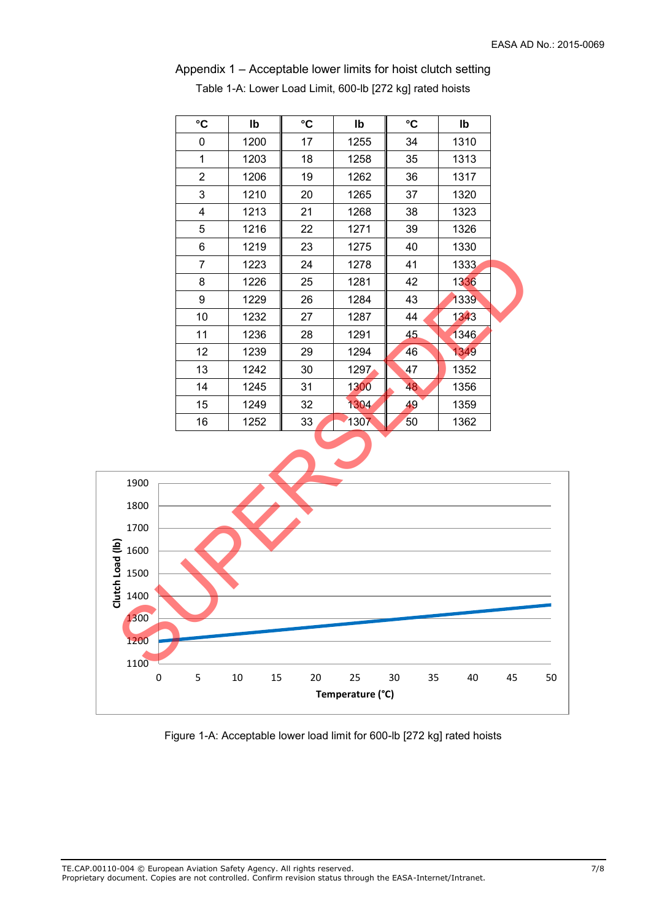| $^\circ \text{C}$ | lb   | $\mathbf{C}$ | lb   | $\mathbf{C}$ | lb   |  |
|-------------------|------|--------------|------|--------------|------|--|
| 0                 | 1200 | 17           | 1255 | 34           | 1310 |  |
| 1                 | 1203 | 18           | 1258 | 35           | 1313 |  |
| $\overline{2}$    | 1206 | 19           | 1262 | 36           | 1317 |  |
| 3                 | 1210 | 20           | 1265 | 37           | 1320 |  |
| 4                 | 1213 | 21           | 1268 | 38           | 1323 |  |
| 5                 | 1216 | 22           | 1271 | 39           | 1326 |  |
| 6                 | 1219 | 23           | 1275 | 40           | 1330 |  |
| 7                 | 1223 | 24           | 1278 | 41           | 1333 |  |
| 8                 | 1226 | 25           | 1281 | 42           | 1336 |  |
| 9                 | 1229 | 26           | 1284 | 43           | 1339 |  |
| 10                | 1232 | 27           | 1287 | 44           | 1343 |  |
| 11                | 1236 | 28           | 1291 | 45           | 1346 |  |
| 12                | 1239 | 29           | 1294 | 46           | 1349 |  |
| 13                | 1242 | 30           | 1297 | 47           | 1352 |  |
| 14                | 1245 | 31           | 1300 | 48           | 1356 |  |
| 15                | 1249 | 32           | 1304 | 49           | 1359 |  |
| 16                | 1252 | 33           | 1307 | 50           | 1362 |  |

Appendix 1 – Acceptable lower limits for hoist clutch setting

Table 1-A: Lower Load Limit, 600-lb [272 kg] rated hoists



Figure 1-A: Acceptable lower load limit for 600-lb [272 kg] rated hoists